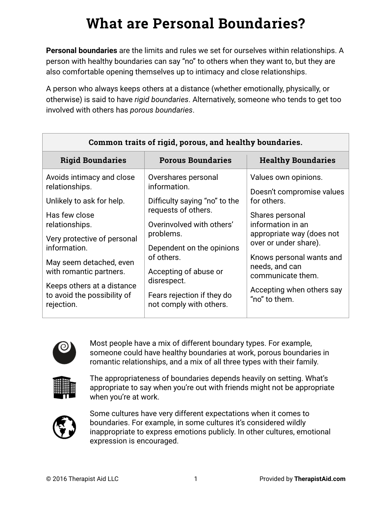# **What are Personal Boundaries?**

**Personal boundaries** are the limits and rules we set for ourselves within relationships. A person with healthy boundaries can say "no" to others when they want to, but they are also comfortable opening themselves up to intimacy and close relationships.

A person who always keeps others at a distance (whether emotionally, physically, or otherwise) is said to have *rigid boundaries*. Alternatively, someone who tends to get too involved with others has *porous boundaries*.

| Common traits of rigid, porous, and healthy boundaries.                                                                                                                                                                                                                                     |                                                                                                                                                                                                                                                                                   |                                                                                                                                                                                                                                                                                 |  |  |  |  |
|---------------------------------------------------------------------------------------------------------------------------------------------------------------------------------------------------------------------------------------------------------------------------------------------|-----------------------------------------------------------------------------------------------------------------------------------------------------------------------------------------------------------------------------------------------------------------------------------|---------------------------------------------------------------------------------------------------------------------------------------------------------------------------------------------------------------------------------------------------------------------------------|--|--|--|--|
| <b>Rigid Boundaries</b>                                                                                                                                                                                                                                                                     | <b>Porous Boundaries</b>                                                                                                                                                                                                                                                          | <b>Healthy Boundaries</b>                                                                                                                                                                                                                                                       |  |  |  |  |
| Avoids intimacy and close<br>relationships.<br>Unlikely to ask for help.<br>Has few close<br>relationships.<br>Very protective of personal<br>information.<br>May seem detached, even<br>with romantic partners.<br>Keeps others at a distance<br>to avoid the possibility of<br>rejection. | Overshares personal<br>information.<br>Difficulty saying "no" to the<br>requests of others.<br>Overinvolved with others'<br>problems.<br>Dependent on the opinions<br>of others.<br>Accepting of abuse or<br>disrespect.<br>Fears rejection if they do<br>not comply with others. | Values own opinions.<br>Doesn't compromise values<br>for others.<br>Shares personal<br>information in an<br>appropriate way (does not<br>over or under share).<br>Knows personal wants and<br>needs, and can<br>communicate them.<br>Accepting when others say<br>"no" to them. |  |  |  |  |
|                                                                                                                                                                                                                                                                                             |                                                                                                                                                                                                                                                                                   |                                                                                                                                                                                                                                                                                 |  |  |  |  |



Most people have a mix of different boundary types. For example, someone could have healthy boundaries at work, porous boundaries in romantic relationships, and a mix of all three types with their family.



The appropriateness of boundaries depends heavily on setting. What's appropriate to say when you're out with friends might not be appropriate when you're at work.



Some cultures have very different expectations when it comes to boundaries. For example, in some cultures it's considered wildly inappropriate to express emotions publicly. In other cultures, emotional expression is encouraged.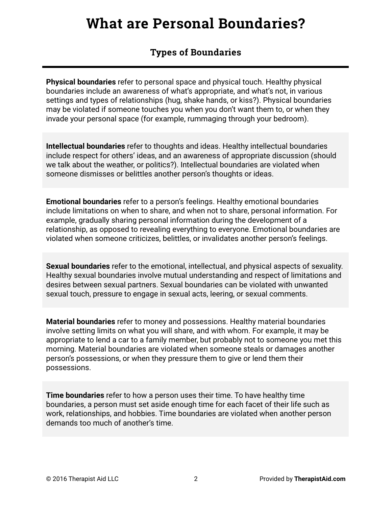### **What are Personal Boundaries?**

### **Types of Boundaries**

**Physical boundaries** refer to personal space and physical touch. Healthy physical boundaries include an awareness of what's appropriate, and what's not, in various settings and types of relationships (hug, shake hands, or kiss?). Physical boundaries may be violated if someone touches you when you don't want them to, or when they invade your personal space (for example, rummaging through your bedroom).

**Intellectual boundaries** refer to thoughts and ideas. Healthy intellectual boundaries include respect for others' ideas, and an awareness of appropriate discussion (should we talk about the weather, or politics?). Intellectual boundaries are violated when someone dismisses or belittles another person's thoughts or ideas.

**Emotional boundaries** refer to a person's feelings. Healthy emotional boundaries include limitations on when to share, and when not to share, personal information. For example, gradually sharing personal information during the development of a relationship, as opposed to revealing everything to everyone. Emotional boundaries are violated when someone criticizes, belittles, or invalidates another person's feelings.

**Sexual boundaries** refer to the emotional, intellectual, and physical aspects of sexuality. Healthy sexual boundaries involve mutual understanding and respect of limitations and desires between sexual partners. Sexual boundaries can be violated with unwanted sexual touch, pressure to engage in sexual acts, leering, or sexual comments.

**Material boundaries** refer to money and possessions. Healthy material boundaries involve setting limits on what you will share, and with whom. For example, it may be appropriate to lend a car to a family member, but probably not to someone you met this morning. Material boundaries are violated when someone steals or damages another person's possessions, or when they pressure them to give or lend them their possessions.

**Time boundaries** refer to how a person uses their time. To have healthy time boundaries, a person must set aside enough time for each facet of their life such as work, relationships, and hobbies. Time boundaries are violated when another person demands too much of another's time.